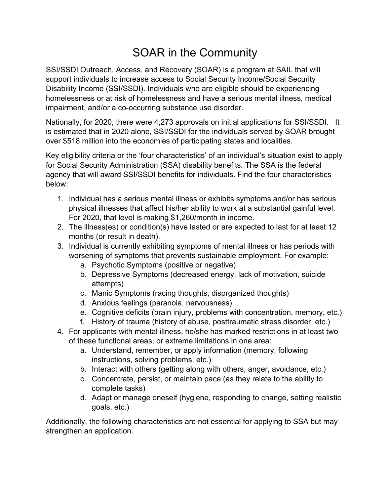## SOAR in the Community

SSI/SSDI Outreach, Access, and Recovery (SOAR) is a program at SAIL that will support individuals to increase access to Social Security Income/Social Security Disability Income (SSI/SSDI). Individuals who are eligible should be experiencing homelessness or at risk of homelessness and have a serious mental illness, medical impairment, and/or a co-occurring substance use disorder.

Nationally, for 2020, there were 4,273 approvals on initial applications for SSI/SSDI. It is estimated that in 2020 alone, SSI/SSDI for the individuals served by SOAR brought over \$518 million into the economies of participating states and localities.

Key eligibility criteria or the 'four characteristics' of an individual's situation exist to apply for Social Security Administration (SSA) disability benefits. The SSA is the federal agency that will award SSI/SSDI benefits for individuals. Find the four characteristics below:

- 1. Individual has a serious mental illness or exhibits symptoms and/or has serious physical illnesses that affect his/her ability to work at a substantial gainful level. For 2020, that level is making \$1,260/month in income.
- 2. The illness(es) or condition(s) have lasted or are expected to last for at least 12 months (or result in death).
- 3. Individual is currently exhibiting symptoms of mental illness or has periods with worsening of symptoms that prevents sustainable employment. For example:
	- a. Psychotic Symptoms (positive or negative)
	- b. Depressive Symptoms (decreased energy, lack of motivation, suicide attempts)
	- c. Manic Symptoms (racing thoughts, disorganized thoughts)
	- d. Anxious feelings (paranoia, nervousness)
	- e. Cognitive deficits (brain injury, problems with concentration, memory, etc.)
	- f. History of trauma (history of abuse, posttraumatic stress disorder, etc.)
- 4. For applicants with mental illness, he/she has marked restrictions in at least two of these functional areas, or extreme limitations in one area:
	- a. Understand, remember, or apply information (memory, following instructions, solving problems, etc.)
	- b. Interact with others (getting along with others, anger, avoidance, etc.)
	- c. Concentrate, persist, or maintain pace (as they relate to the ability to complete tasks)
	- d. Adapt or manage oneself (hygiene, responding to change, setting realistic goals, etc.)

Additionally, the following characteristics are not essential for applying to SSA but may strengthen an application.